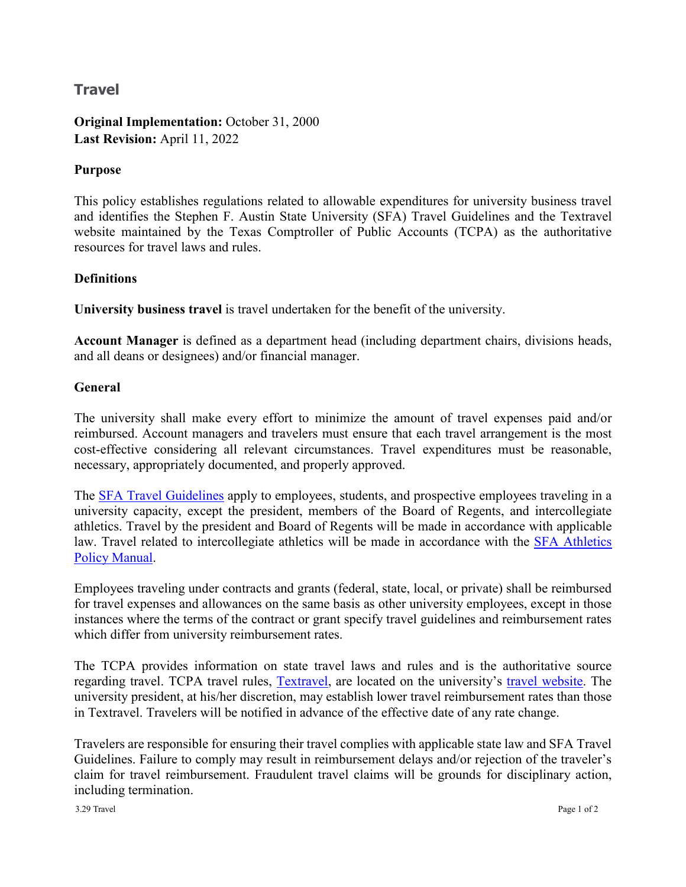## **Travel**

**Original Implementation:** October 31, 2000 **Last Revision:** April 11, 2022

## **Purpose**

This policy establishes regulations related to allowable expenditures for university business travel and identifies the Stephen F. Austin State University (SFA) Travel Guidelines and the Textravel website maintained by the Texas Comptroller of Public Accounts (TCPA) as the authoritative resources for travel laws and rules.

## **Definitions**

**University business travel** is travel undertaken for the benefit of the university.

**Account Manager** is defined as a department head (including department chairs, divisions heads, and all deans or designees) and/or financial manager.

## **General**

The university shall make every effort to minimize the amount of travel expenses paid and/or reimbursed. Account managers and travelers must ensure that each travel arrangement is the most cost-effective considering all relevant circumstances. Travel expenditures must be reasonable, necessary, appropriately documented, and properly approved.

The **SFA Travel Guidelines** apply to employees, students, and prospective employees traveling in a university capacity, except the president, members of the Board of Regents, and intercollegiate athletics. Travel by the president and Board of Regents will be made in accordance with applicable law. Travel related to intercollegiate athletics will be made in accordance with the [SFA Athletics](https://sfajacks.com/documents/2019/10/15/SFA_Athletics_Policy_Manual_2019_20v_2.pdf)  [Policy Manual.](https://sfajacks.com/documents/2019/10/15/SFA_Athletics_Policy_Manual_2019_20v_2.pdf)

Employees traveling under contracts and grants (federal, state, local, or private) shall be reimbursed for travel expenses and allowances on the same basis as other university employees, except in those instances where the terms of the contract or grant specify travel guidelines and reimbursement rates which differ from university reimbursement rates.

The TCPA provides information on state travel laws and rules and is the authoritative source regarding travel. TCPA travel rules, [Textravel,](https://fmx.cpa.texas.gov/fmx/travel/textravel/) are located on the university's [travel website.](https://www.sfasu.edu/controller/travel/) The university president, at his/her discretion, may establish lower travel reimbursement rates than those in Textravel. Travelers will be notified in advance of the effective date of any rate change.

Travelers are responsible for ensuring their travel complies with applicable state law and SFA Travel Guidelines. Failure to comply may result in reimbursement delays and/or rejection of the traveler's claim for travel reimbursement. Fraudulent travel claims will be grounds for disciplinary action, including termination.